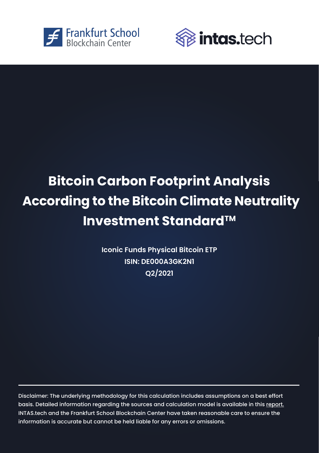



## **Bitcoin Carbon Footprint Analysis Bitcoin Carbon Footprint Analysis**  According to the Bitcoin Climate Neutrality **Investment StandardTM Investment StandardTM**

**Iconic Funds Physical Bitcoin ETP Iconic Funds Physical Bitcoin ETP ISIN: DE000A3GK2N1 ISIN: DE000A3GK2N1 Q2/2021 Q2/2021**

Disclaimer: The underlying methodology for this calculation includes assumptions on a best effort Disclaimer: The underlying methodology for this calculation includes assumptions on a best effort basis. Detailed information regarding the sources and calculation model is available in this [report.](http://explore-ip.com/2021-The-Carbon-Emissions-of-Bitcoin-From-an-Investor-Perspective.pdf)  basis. Detailed information regarding the sources and calculation model is available in this report. INTAS.tech and the Frankfurt School Blockchain Center have taken reasonable care to ensure the [INTAS.tech a](https://assets.intas.tech/)nd t[he Frankfurt School Blockchain Center h](https://www.frankfurt-school.de/home/research/centres/blockchain)ave taken reasonable care to ensure the information is accurate but cannot be held liable for any errors or omissions. information is accurate but cannot be held liable for any errors or omissions.